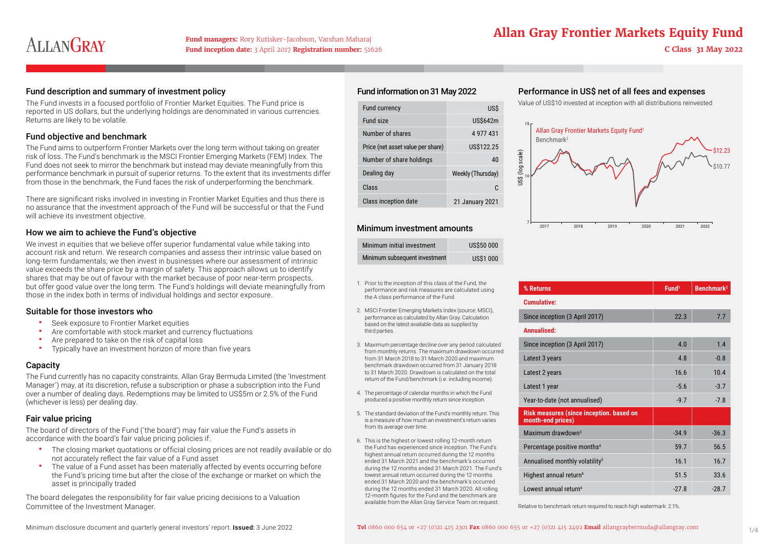# ALLANGRAY

**Fund inception date:** 3 April 2017 **Registration number:** 51626 **C Class 31 May 2022** 

## **Allan Gray Frontier Markets Equity Fund managers:** Rory Kutisker-Jacobson, Varshan Maharaj

## Fund description and summary of investment policy

The Fund invests in a focused portfolio of Frontier Market Equities. The Fund price is reported in US dollars, but the underlying holdings are denominated in various currencies. Returns are likely to be volatile.

## Fund objective and benchmark

The Fund aims to outperform Frontier Markets over the long term without taking on greater risk of loss. The Fund's benchmark is the MSCI Frontier Emerging Markets (FEM) Index. The Fund does not seek to mirror the benchmark but instead may deviate meaningfully from this performance benchmark in pursuit of superior returns. To the extent that its investments differ from those in the benchmark, the Fund faces the risk of underperforming the benchmark.

There are significant risks involved in investing in Frontier Market Equities and thus there is no assurance that the investment approach of the Fund will be successful or that the Fund will achieve its investment objective.

## How we aim to achieve the Fund's objective

We invest in equities that we believe offer superior fundamental value while taking into account risk and return. We research companies and assess their intrinsic value based on long-term fundamentals; we then invest in businesses where our assessment of intrinsic value exceeds the share price by a margin of safety. This approach allows us to identify shares that may be out of favour with the market because of poor near-term prospects, but offer good value over the long term. The Fund's holdings will deviate meaningfully from those in the index both in terms of individual holdings and sector exposure.

## Suitable for those investors who

- Seek exposure to Frontier Market equities<br>Are comfortable with stock market and cu
- Are comfortable with stock market and currency fluctuations<br>Are prepared to take on the risk of capital loss
- Are prepared to take on the risk of capital loss
- Typically have an investment horizon of more than five years

## **Capacity**

The Fund currently has no capacity constraints. Allan Gray Bermuda Limited (the 'Investment Manager') may, at its discretion, refuse a subscription or phase a subscription into the Fund over a number of dealing days. Redemptions may be limited to US\$5m or 2.5% of the Fund (whichever is less) per dealing day.

## Fair value pricing

The board of directors of the Fund ('the board') may fair value the Fund's assets in accordance with the board's fair value pricing policies if:

- The closing market quotations or official closing prices are not readily available or do not accurately reflect the fair value of a Fund asset
- The value of a Fund asset has been materially affected by events occurring before the Fund's pricing time but after the close of the exchange or market on which the asset is principally traded

The board delegates the responsibility for fair value pricing decisions to a Valuation Committee of the Investment Manager.

## Fund information on 31 May 2022

| <b>Fund currency</b>              | US\$              |
|-----------------------------------|-------------------|
| Fund size                         | US\$642m          |
| Number of shares                  | 4 977 431         |
| Price (net asset value per share) | US\$122.25        |
| Number of share holdings          | 40                |
| Dealing day                       | Weekly (Thursday) |
| Class                             | C.                |
| Class inception date              | 21 January 2021   |

## Minimum investment amounts

| Minimum initial investment    | <b>US\$50 000</b> |
|-------------------------------|-------------------|
| Minimum subsequent investment | <b>US\$1 000</b>  |

- 1. Prior to the inception of this class of the Fund, the performance and risk measures are calculated using the A class performance of the Fund.
- 2. MSCI Frontier Emerging Markets Index (source: MSCI) performance as calculated by Allan Gray. Calculation based on the latest available data as supplied by third parties.
- 3. Maximum percentage decline over any period calculated from monthly returns. The maximum drawdown occurred from 31 March 2018 to 31 March 2020 and maximum benchmark drawdown occurred from 31 January 2018 to 31 March 2020. Drawdown is calculated on the total return of the Fund/benchmark (i.e. including income).
- 4. The percentage of calendar months in which the Fund produced a positive monthly return since inception.
- 5. The standard deviation of the Fund's monthly return. This is a measure of how much an investment's return varies from its average over time.
- 6. This is the highest or lowest rolling 12-month return the Fund has experienced since inception. The Fund's highest annual return occurred during the 12 months ended 31 March 2021 and the benchmark's occurred during the 12 months ended 31 March 2021. The Fund's lowest annual return occurred during the 12 months ended 31 March 2020 and the benchmark's occurred during the 12 months ended 31 March 2020. All rolling 12-month figures for the Fund and the benchmark are available from the Allan Gray Service Team on request.

## Performance in US\$ net of all fees and expenses

Value of US\$10 invested at inception with all distributions reinvested



| % Returns                                                     | Fund <sup>1</sup> | Benchmark <sup>2</sup> |
|---------------------------------------------------------------|-------------------|------------------------|
| <b>Cumulative:</b>                                            |                   |                        |
| Since inception (3 April 2017)                                | 22.3              | 7.7                    |
| Annualised:                                                   |                   |                        |
| Since inception (3 April 2017)                                | 4.0               | 1.4                    |
| Latest 3 years                                                | 4.8               | $-0.8$                 |
| Latest 2 years                                                | 16.6              | 10.4                   |
| Latest 1 year                                                 | $-5.6$            | $-3.7$                 |
| Year-to-date (not annualised)                                 | $-9.7$            | $-7.8$                 |
| Risk measures (since inception. based on<br>month-end prices) |                   |                        |
| Maximum drawdown $3$                                          | $-34.9$           | $-36.3$                |
| Percentage positive months <sup>4</sup>                       | 59.7              | 56.5                   |
| Annualised monthly volatility <sup>5</sup>                    | 16.1              | 16.7                   |
| Highest annual return <sup>6</sup>                            | 51.5              | 33.6                   |
| Lowest annual return <sup>6</sup>                             | $-27.8$           | $-28.7$                |

Relative to benchmark return required to reach high watermark: 2.1%.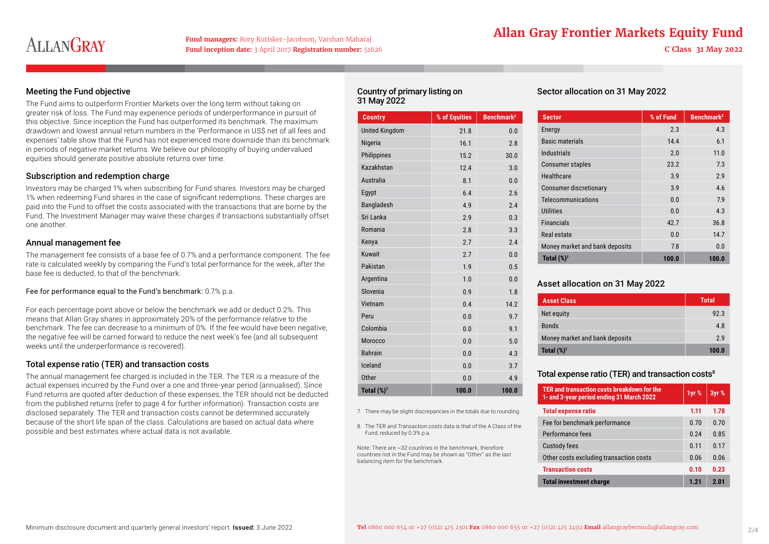# ALLANGRAY

**Fund inception date:** 3 April 2017 **Registration number:** 51626 **C Class 31 May 2022** 

## **Allan Gray Frontier Markets Equity Fund managers:** Rory Kutisker-Jacobson, Varshan Maharaj

## Meeting the Fund objective

The Fund aims to outperform Frontier Markets over the long term without taking on greater risk of loss. The Fund may experience periods of underperformance in pursuit of this objective. Since inception the Fund has outperformed its benchmark. The maximum drawdown and lowest annual return numbers in the 'Performance in US\$ net of all fees and expenses' table show that the Fund has not experienced more downside than its benchmark in periods of negative market returns. We believe our philosophy of buying undervalued equities should generate positive absolute returns over time.

## Subscription and redemption charge

Investors may be charged 1% when subscribing for Fund shares. Investors may be charged 1% when redeeming Fund shares in the case of significant redemptions. These charges are paid into the Fund to offset the costs associated with the transactions that are borne by the Fund. The Investment Manager may waive these charges if transactions substantially offset one another.

## Annual management fee

The management fee consists of a base fee of 0.7% and a performance component. The fee rate is calculated weekly by comparing the Fund's total performance for the week, after the base fee is deducted, to that of the benchmark.

Fee for performance equal to the Fund's benchmark: 0.7% p.a.

For each percentage point above or below the benchmark we add or deduct 0.2%. This means that Allan Gray shares in approximately 20% of the performance relative to the benchmark. The fee can decrease to a minimum of 0%. If the fee would have been negative, the negative fee will be carried forward to reduce the next week's fee (and all subsequent weeks until the underperformance is recovered).

## Total expense ratio (TER) and transaction costs

The annual management fee charged is included in the TER. The TER is a measure of the actual expenses incurred by the Fund over a one and three-year period (annualised). Since Fund returns are quoted after deduction of these expenses, the TER should not be deducted from the published returns (refer to page 4 for further information). Transaction costs are disclosed separately. The TER and transaction costs cannot be determined accurately because of the short life span of the class. Calculations are based on actual data where possible and best estimates where actual data is not available.

## Country of primary listing on 31 May 2022

| <b>Country</b>        | % of Equities | <b>Benchmark<sup>2</sup></b> |
|-----------------------|---------------|------------------------------|
| <b>United Kingdom</b> | 21.8          | 0.0                          |
| Nigeria               | 16.1          | 2.8                          |
| Philippines           | 15.2          | 30.0                         |
| Kazakhstan            | 12.4          | 3.0                          |
| Australia             | 8.1           | 0.0                          |
| Egypt                 | 6.4           | 2.6                          |
| Bangladesh            | 4.9           | 2.4                          |
| Sri Lanka             | 2.9           | 0.3                          |
| Romania               | 2.8           | 3.3                          |
| Kenya                 | 2.7           | 2.4                          |
| <b>Kuwait</b>         | 2.7           | 0.0                          |
| Pakistan              | 1.9           | 0.5                          |
| Argentina             | 1.0           | 0.0                          |
| Slovenia              | 0.9           | 1.8                          |
| Vietnam               | 0.4           | 14.2                         |
| Peru                  | 0.0           | 9.7                          |
| Colombia              | 0.0           | 9.1                          |
| Morocco               | 0.0           | 5.0                          |
| <b>Bahrain</b>        | 0.0           | 4.3                          |
| Iceland               | 0.0           | 3.7                          |
| <b>Other</b>          | 0.0           | 4.9                          |
| Total $(\%)$          | 100.0         | 100.0                        |

7. There may be slight discrepancies in the totals due to rounding.

8. The TER and Transaction costs data is that of the A Class of the Fund, reduced by 0.3% p.a.

Note: There are ~32 countries in the benchmark, therefore countries not in the Fund may be shown as "Other" as the last balancing item for the benchmark.

## Sector allocation on 31 May 2022

| <b>Sector</b>                  | % of Fund | Benchmark <sup>2</sup> |
|--------------------------------|-----------|------------------------|
| Energy                         | 2.3       | 4.3                    |
| <b>Basic materials</b>         | 14.4      | 6.1                    |
| Industrials                    | 2.0       | 11.0                   |
| <b>Consumer staples</b>        | 23.2      | 7.3                    |
| Healthcare                     | 3.9       | 2.9                    |
| Consumer discretionary         | 3.9       | 4.6                    |
| Telecommunications             | 0.0       | 7.9                    |
| <b>Utilities</b>               | 0.0       | 4.3                    |
| <b>Financials</b>              | 42.7      | 36.8                   |
| Real estate                    | 0.0       | 14.7                   |
| Money market and bank deposits | 7.8       | 0.0                    |
| Total $(\%)^7$                 | 100.0     | 100.0                  |

## Asset allocation on 31 May 2022

| <b>Asset Class</b>             | <b>Total</b> |  |
|--------------------------------|--------------|--|
| Net equity                     | 92.3         |  |
| <b>Bonds</b>                   | 4.8          |  |
| Money market and bank deposits | 2.9          |  |
| Total $(\%)^7$                 | 100.0        |  |

## Total expense ratio (TER) and transaction costs 8

| TER and transaction costs breakdown for the<br>1- and 3-year period ending 31 March 2022 | 1yr % | 3yr %            |
|------------------------------------------------------------------------------------------|-------|------------------|
| <b>Total expense ratio</b>                                                               | 1.11  | 1.78             |
| Fee for benchmark performance                                                            | 0.70  | 0.70             |
| Performance fees                                                                         | 0.24  | 0.85             |
| <b>Custody fees</b>                                                                      | 0.11  | 0.17             |
| Other costs excluding transaction costs                                                  | 0.06  | 0.06             |
| <b>Transaction costs</b>                                                                 | 0.10  | 0.23             |
| <b>Total investment charge</b>                                                           | 1.21  | 2 Q <sub>1</sub> |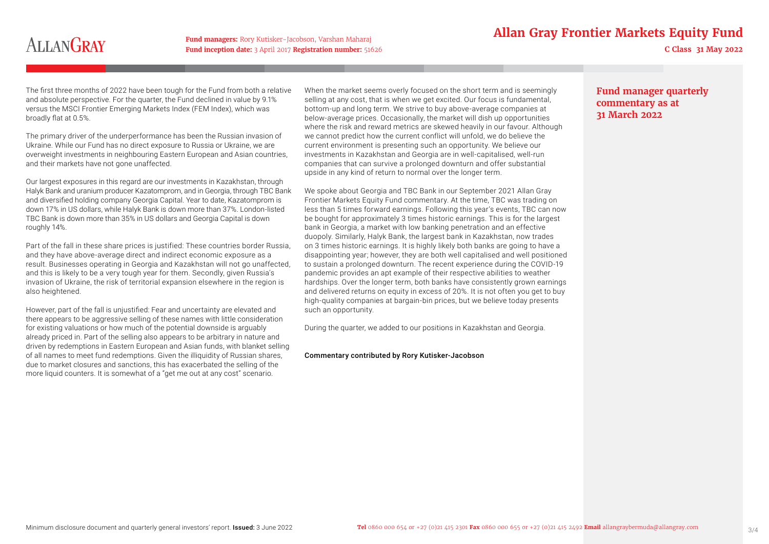## **Fund managers: Rory Kutisker-Jacobson, Varshan Maharaj Fund <b>Equity** Fund **Allan Gray Frontier Markets Equity Fund**

# **ALLANGRAY**

**Fund inception date:** 3 April 2017 **Registration number:** 51626 **C Class 31 May 2022** 

The first three months of 2022 have been tough for the Fund from both a relative and absolute perspective. For the quarter, the Fund declined in value by 9.1% versus the MSCI Frontier Emerging Markets Index (FEM Index), which was broadly flat at 0.5%.

The primary driver of the underperformance has been the Russian invasion of Ukraine. While our Fund has no direct exposure to Russia or Ukraine, we are overweight investments in neighbouring Eastern European and Asian countries, and their markets have not gone unaffected.

Our largest exposures in this regard are our investments in Kazakhstan, through Halyk Bank and uranium producer Kazatomprom, and in Georgia, through TBC Bank and diversified holding company Georgia Capital. Year to date, Kazatomprom is down 17% in US dollars, while Halyk Bank is down more than 37%. London-listed TBC Bank is down more than 35% in US dollars and Georgia Capital is down roughly 14%.

Part of the fall in these share prices is justified: These countries border Russia, and they have above-average direct and indirect economic exposure as a result. Businesses operating in Georgia and Kazakhstan will not go unaffected, and this is likely to be a very tough year for them. Secondly, given Russia's invasion of Ukraine, the risk of territorial expansion elsewhere in the region is also heightened.

However, part of the fall is unjustified: Fear and uncertainty are elevated and there appears to be aggressive selling of these names with little consideration for existing valuations or how much of the potential downside is arguably already priced in. Part of the selling also appears to be arbitrary in nature and driven by redemptions in Eastern European and Asian funds, with blanket selling of all names to meet fund redemptions. Given the illiquidity of Russian shares, due to market closures and sanctions, this has exacerbated the selling of the more liquid counters. It is somewhat of a "get me out at any cost" scenario.

When the market seems overly focused on the short term and is seemingly selling at any cost, that is when we get excited. Our focus is fundamental, bottom-up and long term. We strive to buy above-average companies at below-average prices. Occasionally, the market will dish up opportunities where the risk and reward metrics are skewed heavily in our favour. Although we cannot predict how the current conflict will unfold, we do believe the current environment is presenting such an opportunity. We believe our investments in Kazakhstan and Georgia are in well-capitalised, well-run companies that can survive a prolonged downturn and offer substantial upside in any kind of return to normal over the longer term.

We spoke about Georgia and TBC Bank in our September 2021 Allan Gray Frontier Markets Equity Fund commentary. At the time, TBC was trading on less than 5 times forward earnings. Following this year's events, TBC can now be bought for approximately 3 times historic earnings. This is for the largest bank in Georgia, a market with low banking penetration and an effective duopoly. Similarly, Halyk Bank, the largest bank in Kazakhstan, now trades on 3 times historic earnings. It is highly likely both banks are going to have a disappointing year; however, they are both well capitalised and well positioned to sustain a prolonged downturn. The recent experience during the COVID-19 pandemic provides an apt example of their respective abilities to weather hardships. Over the longer term, both banks have consistently grown earnings and delivered returns on equity in excess of 20%. It is not often you get to buy high-quality companies at bargain-bin prices, but we believe today presents such an opportunity.

During the quarter, we added to our positions in Kazakhstan and Georgia.

### Commentary contributed by Rory Kutisker-Jacobson

## **Fund manager quarterly commentary as at 31 March 2022**